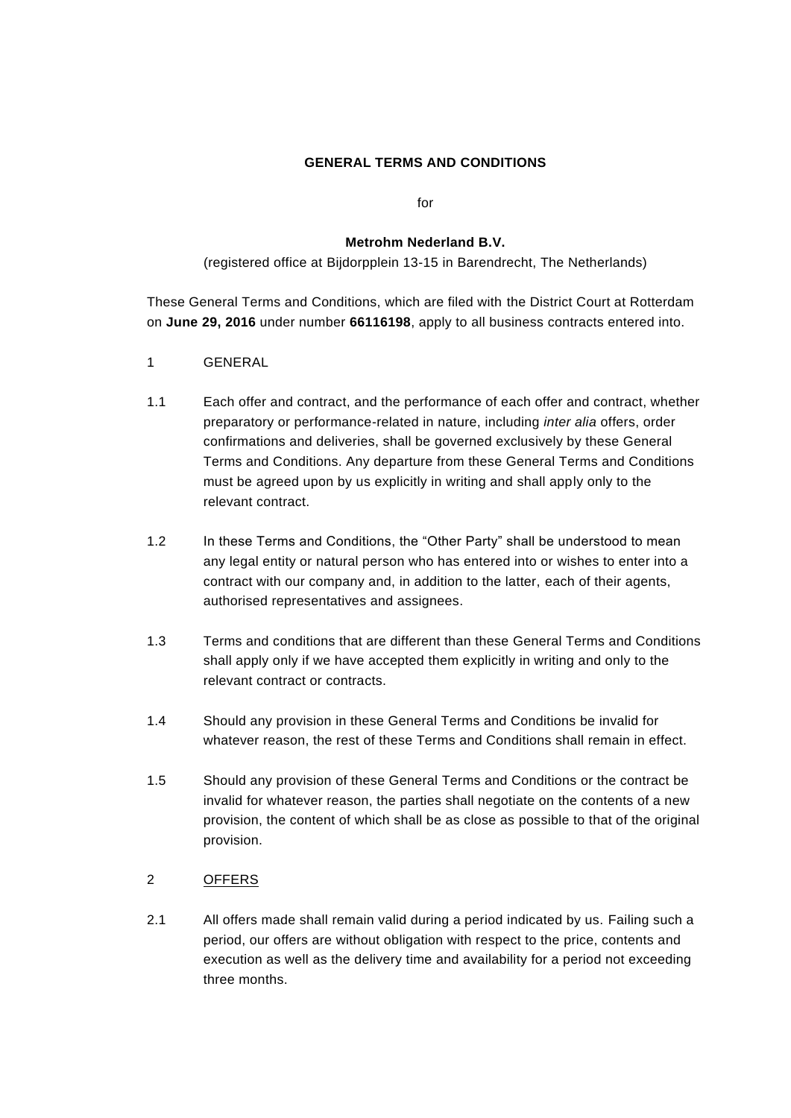### **GENERAL TERMS AND CONDITIONS**

for

#### **Metrohm Nederland B.V.**

(registered office at Bijdorpplein 13-15 in Barendrecht, The Netherlands)

These General Terms and Conditions, which are filed with the District Court at Rotterdam on **June 29, 2016** under number **66116198**, apply to all business contracts entered into.

- 1 GENERAL
- 1.1 Each offer and contract, and the performance of each offer and contract, whether preparatory or performance-related in nature, including *inter alia* offers, order confirmations and deliveries, shall be governed exclusively by these General Terms and Conditions. Any departure from these General Terms and Conditions must be agreed upon by us explicitly in writing and shall apply only to the relevant contract.
- 1.2 In these Terms and Conditions, the "Other Party" shall be understood to mean any legal entity or natural person who has entered into or wishes to enter into a contract with our company and, in addition to the latter, each of their agents, authorised representatives and assignees.
- 1.3 Terms and conditions that are different than these General Terms and Conditions shall apply only if we have accepted them explicitly in writing and only to the relevant contract or contracts.
- 1.4 Should any provision in these General Terms and Conditions be invalid for whatever reason, the rest of these Terms and Conditions shall remain in effect.
- 1.5 Should any provision of these General Terms and Conditions or the contract be invalid for whatever reason, the parties shall negotiate on the contents of a new provision, the content of which shall be as close as possible to that of the original provision.

### 2 OFFERS

2.1 All offers made shall remain valid during a period indicated by us. Failing such a period, our offers are without obligation with respect to the price, contents and execution as well as the delivery time and availability for a period not exceeding three months.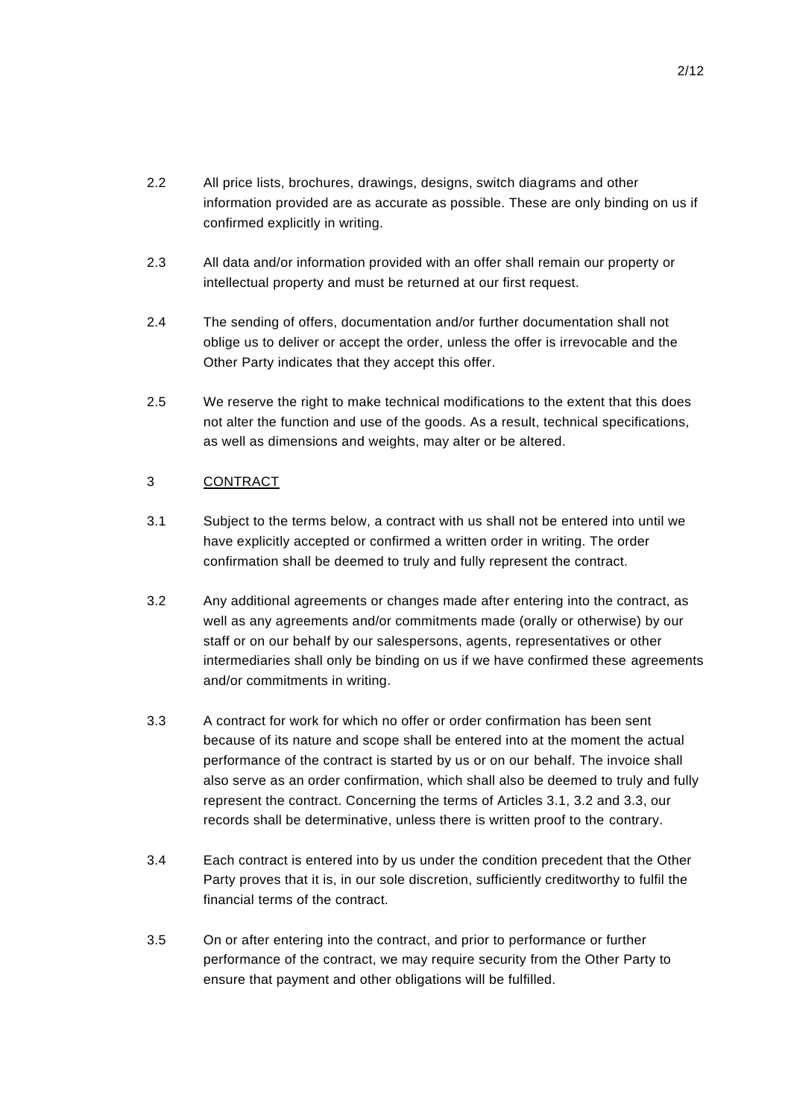- 2.2 All price lists, brochures, drawings, designs, switch diagrams and other information provided are as accurate as possible. These are only binding on us if confirmed explicitly in writing.
- 2.3 All data and/or information provided with an offer shall remain our property or intellectual property and must be returned at our first request.
- 2.4 The sending of offers, documentation and/or further documentation shall not oblige us to deliver or accept the order, unless the offer is irrevocable and the Other Party indicates that they accept this offer.
- 2.5 We reserve the right to make technical modifications to the extent that this does not alter the function and use of the goods. As a result, technical specifications, as well as dimensions and weights, may alter or be altered.

## 3 CONTRACT

- 3.1 Subject to the terms below, a contract with us shall not be entered into until we have explicitly accepted or confirmed a written order in writing. The order confirmation shall be deemed to truly and fully represent the contract.
- 3.2 Any additional agreements or changes made after entering into the contract, as well as any agreements and/or commitments made (orally or otherwise) by our staff or on our behalf by our salespersons, agents, representatives or other intermediaries shall only be binding on us if we have confirmed these agreements and/or commitments in writing.
- 3.3 A contract for work for which no offer or order confirmation has been sent because of its nature and scope shall be entered into at the moment the actual performance of the contract is started by us or on our behalf. The invoice shall also serve as an order confirmation, which shall also be deemed to truly and fully represent the contract. Concerning the terms of Articles 3.1, 3.2 and 3.3, our records shall be determinative, unless there is written proof to the contrary.
- 3.4 Each contract is entered into by us under the condition precedent that the Other Party proves that it is, in our sole discretion, sufficiently creditworthy to fulfil the financial terms of the contract.
- 3.5 On or after entering into the contract, and prior to performance or further performance of the contract, we may require security from the Other Party to ensure that payment and other obligations will be fulfilled.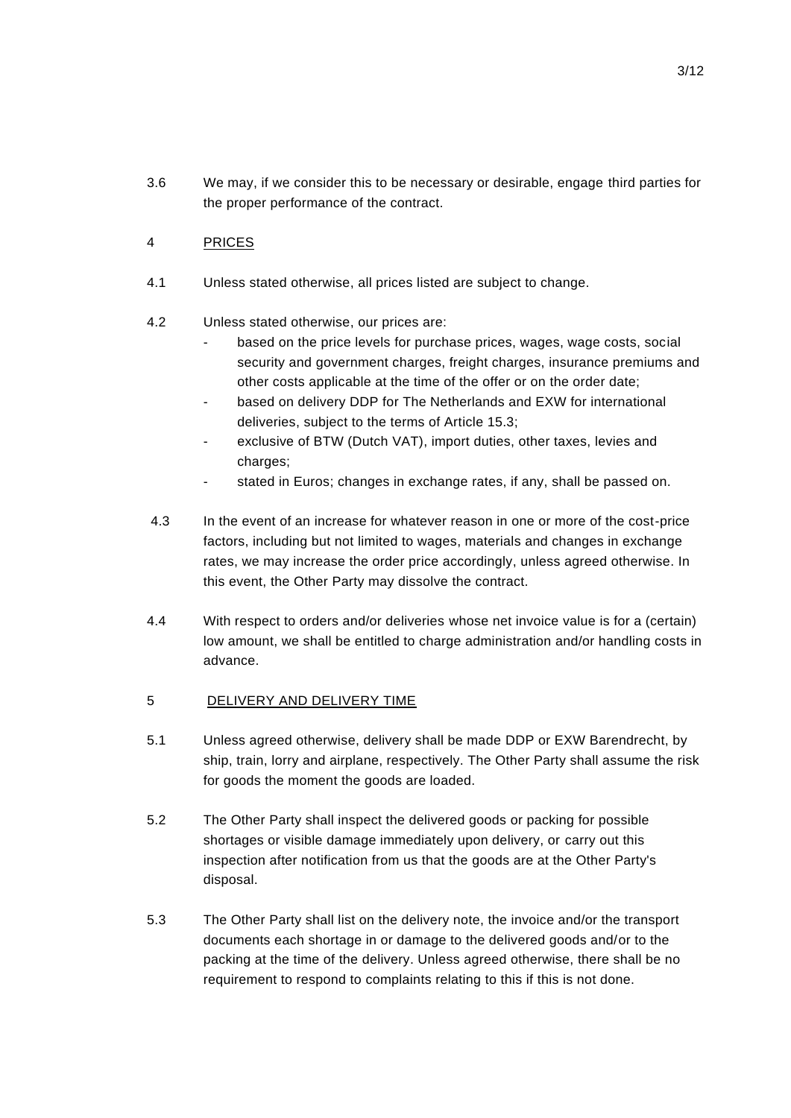3.6 We may, if we consider this to be necessary or desirable, engage third parties for the proper performance of the contract.

# 4 PRICES

- 4.1 Unless stated otherwise, all prices listed are subject to change.
- 4.2 Unless stated otherwise, our prices are:
	- based on the price levels for purchase prices, wages, wage costs, social security and government charges, freight charges, insurance premiums and other costs applicable at the time of the offer or on the order date;
	- based on delivery DDP for The Netherlands and EXW for international deliveries, subject to the terms of Article 15.3;
	- exclusive of BTW (Dutch VAT), import duties, other taxes, levies and charges:
	- stated in Euros; changes in exchange rates, if any, shall be passed on.
- 4.3 In the event of an increase for whatever reason in one or more of the cost-price factors, including but not limited to wages, materials and changes in exchange rates, we may increase the order price accordingly, unless agreed otherwise. In this event, the Other Party may dissolve the contract.
- 4.4 With respect to orders and/or deliveries whose net invoice value is for a (certain) low amount, we shall be entitled to charge administration and/or handling costs in advance.
- 5 DELIVERY AND DELIVERY TIME
- 5.1 Unless agreed otherwise, delivery shall be made DDP or EXW Barendrecht, by ship, train, lorry and airplane, respectively. The Other Party shall assume the risk for goods the moment the goods are loaded.
- 5.2 The Other Party shall inspect the delivered goods or packing for possible shortages or visible damage immediately upon delivery, or carry out this inspection after notification from us that the goods are at the Other Party's disposal.
- 5.3 The Other Party shall list on the delivery note, the invoice and/or the transport documents each shortage in or damage to the delivered goods and/or to the packing at the time of the delivery. Unless agreed otherwise, there shall be no requirement to respond to complaints relating to this if this is not done.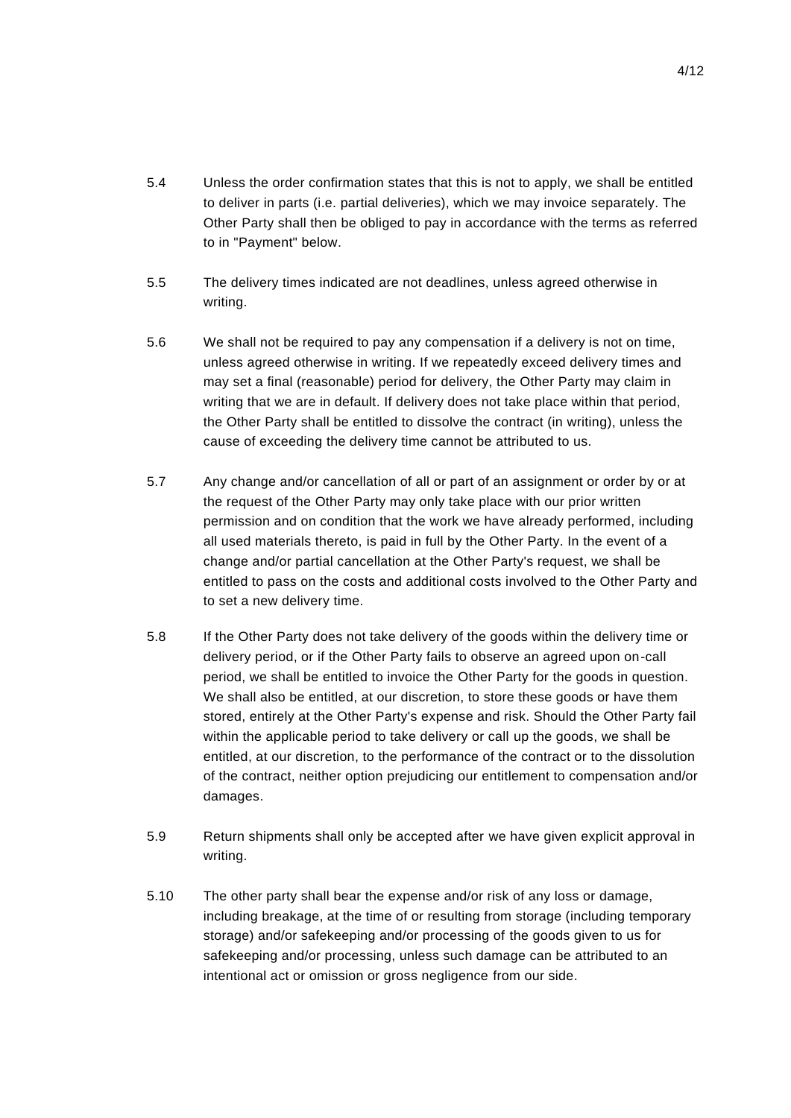- 5.4 Unless the order confirmation states that this is not to apply, we shall be entitled to deliver in parts (i.e. partial deliveries), which we may invoice separately. The Other Party shall then be obliged to pay in accordance with the terms as referred to in "Payment" below.
- 5.5 The delivery times indicated are not deadlines, unless agreed otherwise in writing.
- 5.6 We shall not be required to pay any compensation if a delivery is not on time, unless agreed otherwise in writing. If we repeatedly exceed delivery times and may set a final (reasonable) period for delivery, the Other Party may claim in writing that we are in default. If delivery does not take place within that period, the Other Party shall be entitled to dissolve the contract (in writing), unless the cause of exceeding the delivery time cannot be attributed to us.
- 5.7 Any change and/or cancellation of all or part of an assignment or order by or at the request of the Other Party may only take place with our prior written permission and on condition that the work we have already performed, including all used materials thereto, is paid in full by the Other Party. In the event of a change and/or partial cancellation at the Other Party's request, we shall be entitled to pass on the costs and additional costs involved to the Other Party and to set a new delivery time.
- 5.8 If the Other Party does not take delivery of the goods within the delivery time or delivery period, or if the Other Party fails to observe an agreed upon on-call period, we shall be entitled to invoice the Other Party for the goods in question. We shall also be entitled, at our discretion, to store these goods or have them stored, entirely at the Other Party's expense and risk. Should the Other Party fail within the applicable period to take delivery or call up the goods, we shall be entitled, at our discretion, to the performance of the contract or to the dissolution of the contract, neither option prejudicing our entitlement to compensation and/or damages.
- 5.9 Return shipments shall only be accepted after we have given explicit approval in writing.
- 5.10 The other party shall bear the expense and/or risk of any loss or damage, including breakage, at the time of or resulting from storage (including temporary storage) and/or safekeeping and/or processing of the goods given to us for safekeeping and/or processing, unless such damage can be attributed to an intentional act or omission or gross negligence from our side.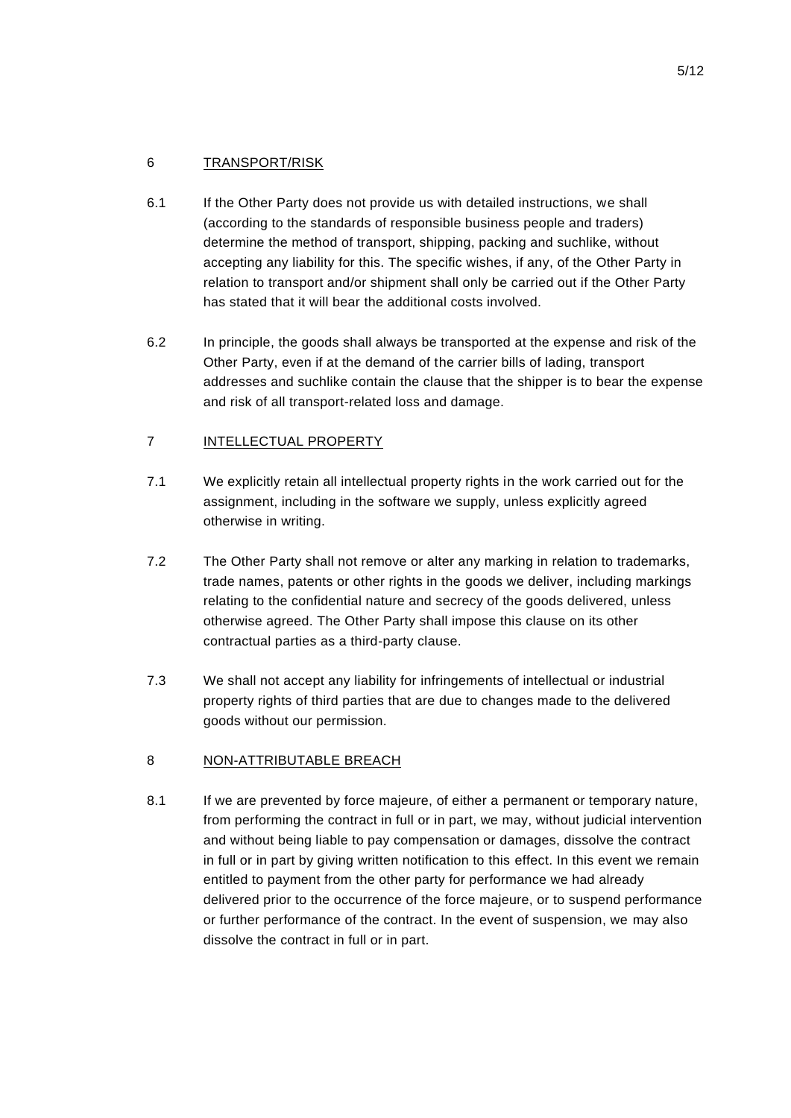# 6 TRANSPORT/RISK

- 6.1 If the Other Party does not provide us with detailed instructions, we shall (according to the standards of responsible business people and traders) determine the method of transport, shipping, packing and suchlike, without accepting any liability for this. The specific wishes, if any, of the Other Party in relation to transport and/or shipment shall only be carried out if the Other Party has stated that it will bear the additional costs involved.
- 6.2 In principle, the goods shall always be transported at the expense and risk of the Other Party, even if at the demand of the carrier bills of lading, transport addresses and suchlike contain the clause that the shipper is to bear the expense and risk of all transport-related loss and damage.

# 7 INTELLECTUAL PROPERTY

- 7.1 We explicitly retain all intellectual property rights in the work carried out for the assignment, including in the software we supply, unless explicitly agreed otherwise in writing.
- 7.2 The Other Party shall not remove or alter any marking in relation to trademarks, trade names, patents or other rights in the goods we deliver, including markings relating to the confidential nature and secrecy of the goods delivered, unless otherwise agreed. The Other Party shall impose this clause on its other contractual parties as a third-party clause.
- 7.3 We shall not accept any liability for infringements of intellectual or industrial property rights of third parties that are due to changes made to the delivered goods without our permission.

# 8 NON-ATTRIBUTABLE BREACH

8.1 If we are prevented by force majeure, of either a permanent or temporary nature, from performing the contract in full or in part, we may, without judicial intervention and without being liable to pay compensation or damages, dissolve the contract in full or in part by giving written notification to this effect. In this event we remain entitled to payment from the other party for performance we had already delivered prior to the occurrence of the force majeure, or to suspend performance or further performance of the contract. In the event of suspension, we may also dissolve the contract in full or in part.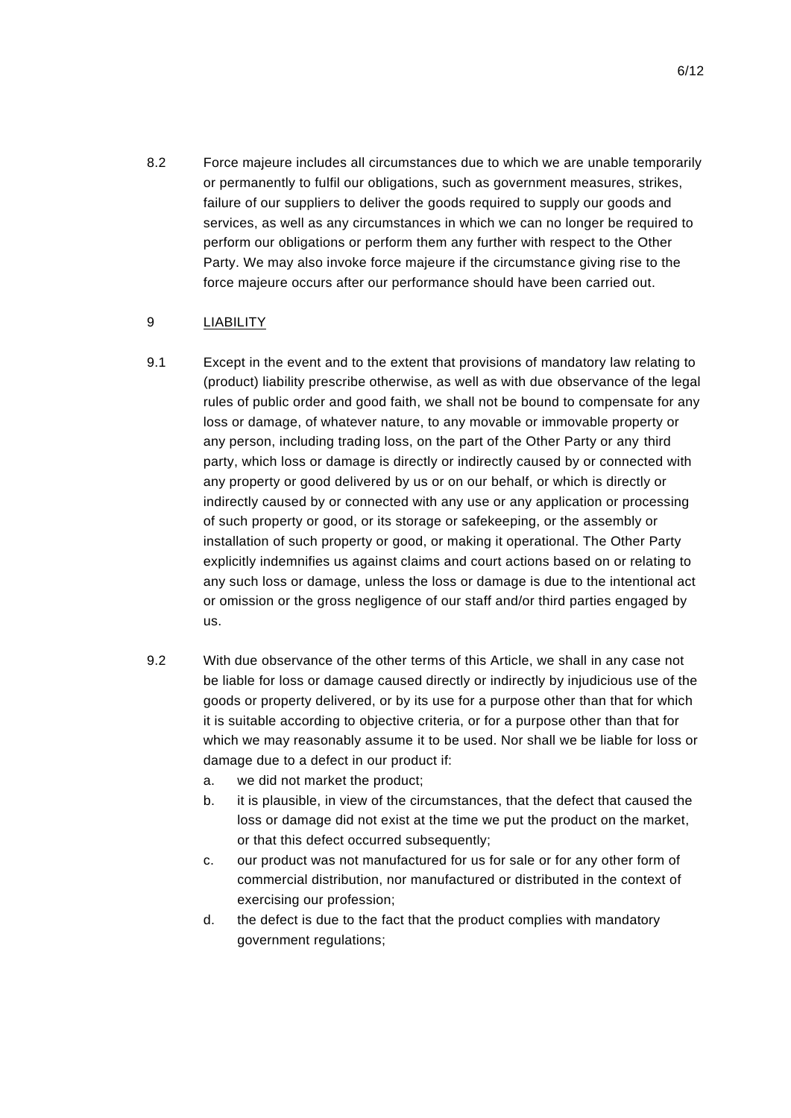8.2 Force majeure includes all circumstances due to which we are unable temporarily or permanently to fulfil our obligations, such as government measures, strikes, failure of our suppliers to deliver the goods required to supply our goods and services, as well as any circumstances in which we can no longer be required to perform our obligations or perform them any further with respect to the Other Party. We may also invoke force majeure if the circumstance giving rise to the force majeure occurs after our performance should have been carried out.

## 9 LIABILITY

- 9.1 Except in the event and to the extent that provisions of mandatory law relating to (product) liability prescribe otherwise, as well as with due observance of the legal rules of public order and good faith, we shall not be bound to compensate for any loss or damage, of whatever nature, to any movable or immovable property or any person, including trading loss, on the part of the Other Party or any third party, which loss or damage is directly or indirectly caused by or connected with any property or good delivered by us or on our behalf, or which is directly or indirectly caused by or connected with any use or any application or processing of such property or good, or its storage or safekeeping, or the assembly or installation of such property or good, or making it operational. The Other Party explicitly indemnifies us against claims and court actions based on or relating to any such loss or damage, unless the loss or damage is due to the intentional act or omission or the gross negligence of our staff and/or third parties engaged by us.
- 9.2 With due observance of the other terms of this Article, we shall in any case not be liable for loss or damage caused directly or indirectly by injudicious use of the goods or property delivered, or by its use for a purpose other than that for which it is suitable according to objective criteria, or for a purpose other than that for which we may reasonably assume it to be used. Nor shall we be liable for loss or damage due to a defect in our product if:
	- a. we did not market the product;
	- b. it is plausible, in view of the circumstances, that the defect that caused the loss or damage did not exist at the time we put the product on the market, or that this defect occurred subsequently;
	- c. our product was not manufactured for us for sale or for any other form of commercial distribution, nor manufactured or distributed in the context of exercising our profession;
	- d. the defect is due to the fact that the product complies with mandatory government regulations;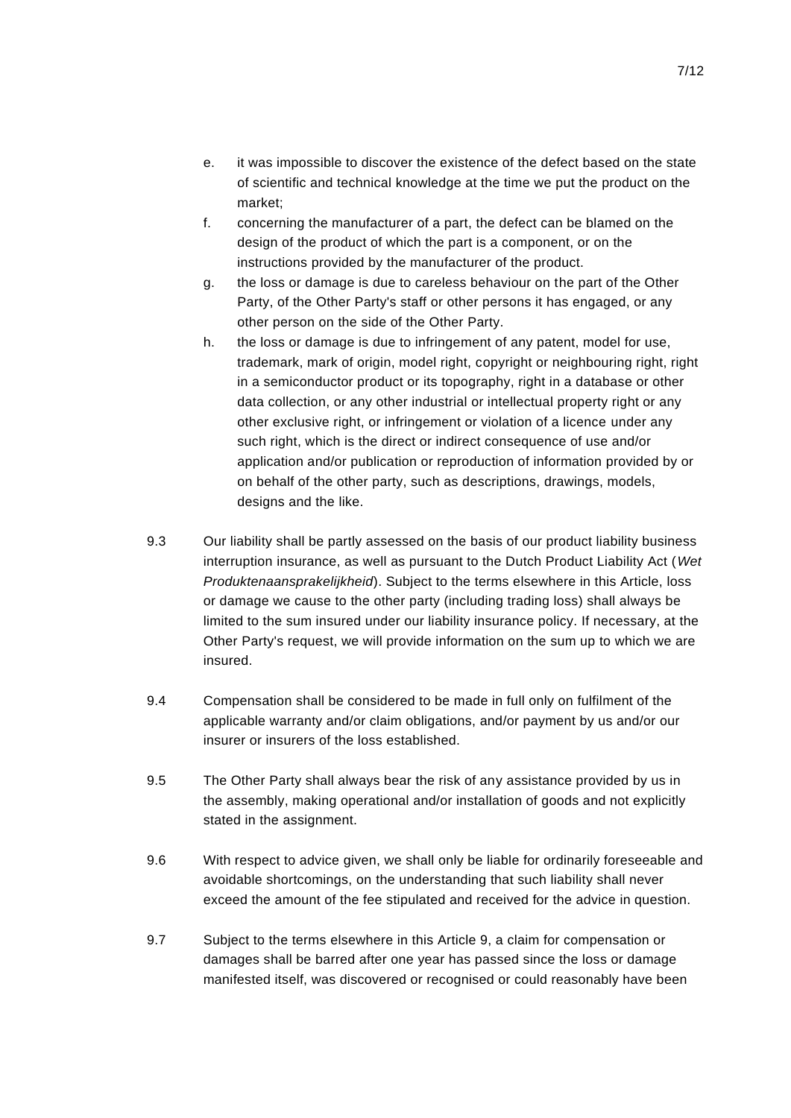- e. it was impossible to discover the existence of the defect based on the state of scientific and technical knowledge at the time we put the product on the market;
- f. concerning the manufacturer of a part, the defect can be blamed on the design of the product of which the part is a component, or on the instructions provided by the manufacturer of the product.
- g. the loss or damage is due to careless behaviour on the part of the Other Party, of the Other Party's staff or other persons it has engaged, or any other person on the side of the Other Party.
- h. the loss or damage is due to infringement of any patent, model for use, trademark, mark of origin, model right, copyright or neighbouring right, right in a semiconductor product or its topography, right in a database or other data collection, or any other industrial or intellectual property right or any other exclusive right, or infringement or violation of a licence under any such right, which is the direct or indirect consequence of use and/or application and/or publication or reproduction of information provided by or on behalf of the other party, such as descriptions, drawings, models, designs and the like.
- 9.3 Our liability shall be partly assessed on the basis of our product liability business interruption insurance, as well as pursuant to the Dutch Product Liability Act (*Wet Produktenaansprakelijkheid*). Subject to the terms elsewhere in this Article, loss or damage we cause to the other party (including trading loss) shall always be limited to the sum insured under our liability insurance policy. If necessary, at the Other Party's request, we will provide information on the sum up to which we are insured.
- 9.4 Compensation shall be considered to be made in full only on fulfilment of the applicable warranty and/or claim obligations, and/or payment by us and/or our insurer or insurers of the loss established.
- 9.5 The Other Party shall always bear the risk of any assistance provided by us in the assembly, making operational and/or installation of goods and not explicitly stated in the assignment.
- 9.6 With respect to advice given, we shall only be liable for ordinarily foreseeable and avoidable shortcomings, on the understanding that such liability shall never exceed the amount of the fee stipulated and received for the advice in question.
- 9.7 Subject to the terms elsewhere in this Article 9, a claim for compensation or damages shall be barred after one year has passed since the loss or damage manifested itself, was discovered or recognised or could reasonably have been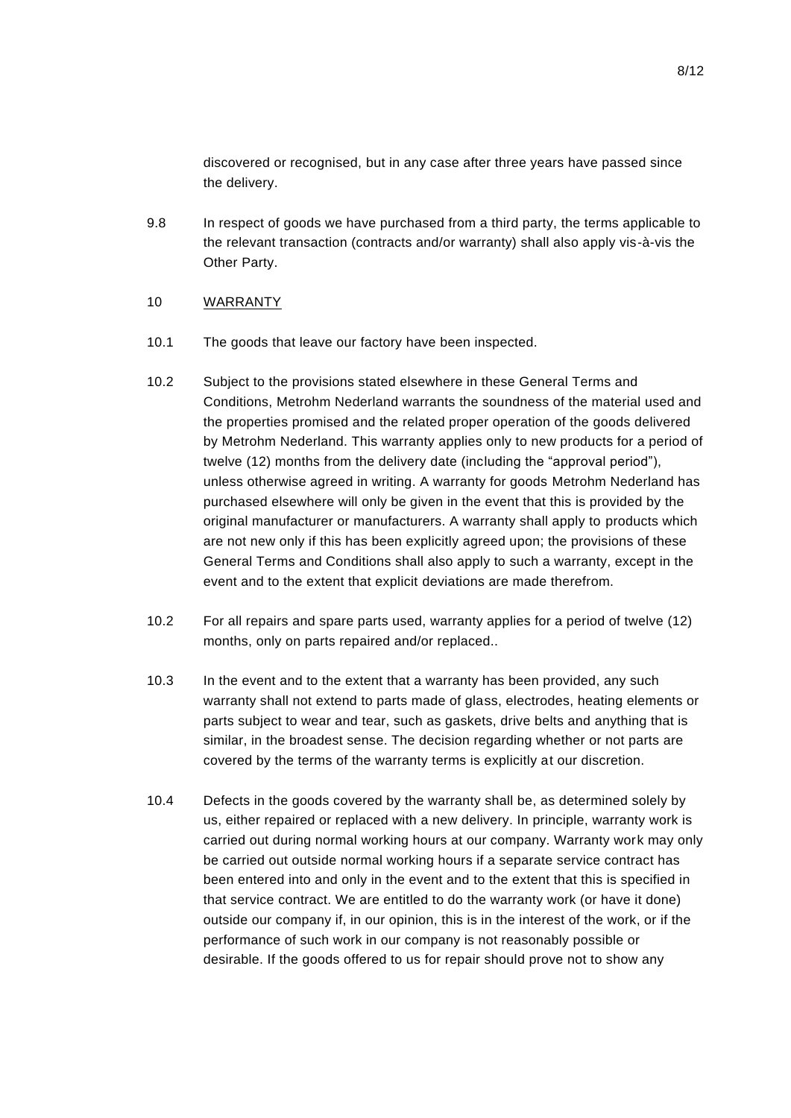discovered or recognised, but in any case after three years have passed since the delivery.

9.8 In respect of goods we have purchased from a third party, the terms applicable to the relevant transaction (contracts and/or warranty) shall also apply vis-à-vis the Other Party.

### 10 WARRANTY

- 10.1 The goods that leave our factory have been inspected.
- 10.2 Subject to the provisions stated elsewhere in these General Terms and Conditions, Metrohm Nederland warrants the soundness of the material used and the properties promised and the related proper operation of the goods delivered by Metrohm Nederland. This warranty applies only to new products for a period of twelve (12) months from the delivery date (including the "approval period"), unless otherwise agreed in writing. A warranty for goods Metrohm Nederland has purchased elsewhere will only be given in the event that this is provided by the original manufacturer or manufacturers. A warranty shall apply to products which are not new only if this has been explicitly agreed upon; the provisions of these General Terms and Conditions shall also apply to such a warranty, except in the event and to the extent that explicit deviations are made therefrom.
- 10.2 For all repairs and spare parts used, warranty applies for a period of twelve (12) months, only on parts repaired and/or replaced..
- 10.3 In the event and to the extent that a warranty has been provided, any such warranty shall not extend to parts made of glass, electrodes, heating elements or parts subject to wear and tear, such as gaskets, drive belts and anything that is similar, in the broadest sense. The decision regarding whether or not parts are covered by the terms of the warranty terms is explicitly at our discretion.
- 10.4 Defects in the goods covered by the warranty shall be, as determined solely by us, either repaired or replaced with a new delivery. In principle, warranty work is carried out during normal working hours at our company. Warranty work may only be carried out outside normal working hours if a separate service contract has been entered into and only in the event and to the extent that this is specified in that service contract. We are entitled to do the warranty work (or have it done) outside our company if, in our opinion, this is in the interest of the work, or if the performance of such work in our company is not reasonably possible or desirable. If the goods offered to us for repair should prove not to show any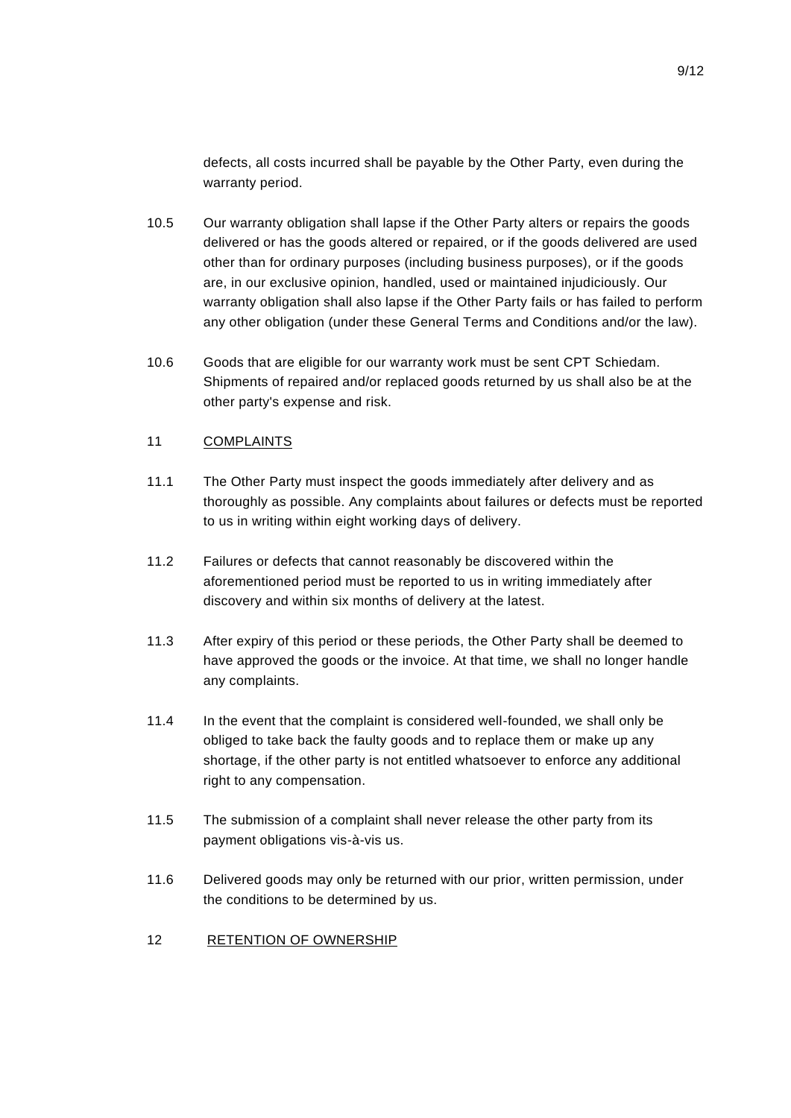defects, all costs incurred shall be payable by the Other Party, even during the warranty period.

- 10.5 Our warranty obligation shall lapse if the Other Party alters or repairs the goods delivered or has the goods altered or repaired, or if the goods delivered are used other than for ordinary purposes (including business purposes), or if the goods are, in our exclusive opinion, handled, used or maintained injudiciously. Our warranty obligation shall also lapse if the Other Party fails or has failed to perform any other obligation (under these General Terms and Conditions and/or the law).
- 10.6 Goods that are eligible for our warranty work must be sent CPT Schiedam. Shipments of repaired and/or replaced goods returned by us shall also be at the other party's expense and risk.

## 11 COMPLAINTS

- 11.1 The Other Party must inspect the goods immediately after delivery and as thoroughly as possible. Any complaints about failures or defects must be reported to us in writing within eight working days of delivery.
- 11.2 Failures or defects that cannot reasonably be discovered within the aforementioned period must be reported to us in writing immediately after discovery and within six months of delivery at the latest.
- 11.3 After expiry of this period or these periods, the Other Party shall be deemed to have approved the goods or the invoice. At that time, we shall no longer handle any complaints.
- 11.4 In the event that the complaint is considered well-founded, we shall only be obliged to take back the faulty goods and to replace them or make up any shortage, if the other party is not entitled whatsoever to enforce any additional right to any compensation.
- 11.5 The submission of a complaint shall never release the other party from its payment obligations vis-à-vis us.
- 11.6 Delivered goods may only be returned with our prior, written permission, under the conditions to be determined by us.
- 12 RETENTION OF OWNERSHIP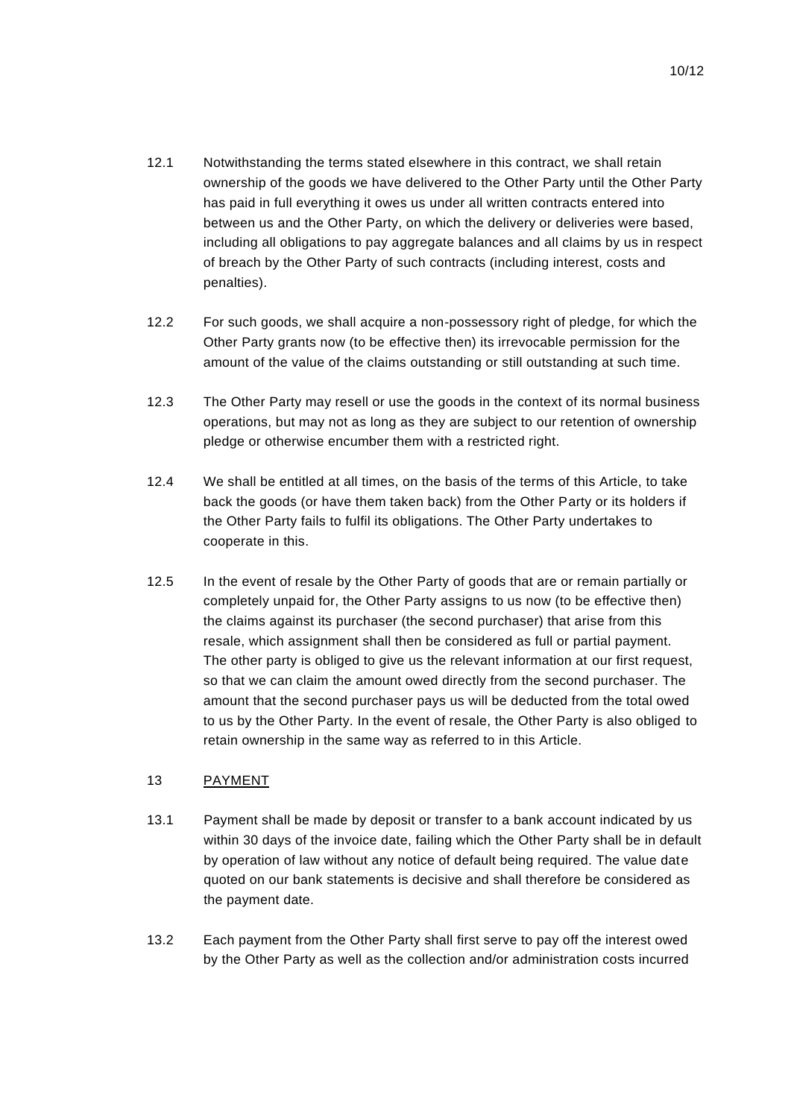- 12.1 Notwithstanding the terms stated elsewhere in this contract, we shall retain ownership of the goods we have delivered to the Other Party until the Other Party has paid in full everything it owes us under all written contracts entered into between us and the Other Party, on which the delivery or deliveries were based, including all obligations to pay aggregate balances and all claims by us in respect of breach by the Other Party of such contracts (including interest, costs and penalties).
- 12.2 For such goods, we shall acquire a non-possessory right of pledge, for which the Other Party grants now (to be effective then) its irrevocable permission for the amount of the value of the claims outstanding or still outstanding at such time.
- 12.3 The Other Party may resell or use the goods in the context of its normal business operations, but may not as long as they are subject to our retention of ownership pledge or otherwise encumber them with a restricted right.
- 12.4 We shall be entitled at all times, on the basis of the terms of this Article, to take back the goods (or have them taken back) from the Other Party or its holders if the Other Party fails to fulfil its obligations. The Other Party undertakes to cooperate in this.
- 12.5 In the event of resale by the Other Party of goods that are or remain partially or completely unpaid for, the Other Party assigns to us now (to be effective then) the claims against its purchaser (the second purchaser) that arise from this resale, which assignment shall then be considered as full or partial payment. The other party is obliged to give us the relevant information at our first request, so that we can claim the amount owed directly from the second purchaser. The amount that the second purchaser pays us will be deducted from the total owed to us by the Other Party. In the event of resale, the Other Party is also obliged to retain ownership in the same way as referred to in this Article.

# 13 PAYMENT

- 13.1 Payment shall be made by deposit or transfer to a bank account indicated by us within 30 days of the invoice date, failing which the Other Party shall be in default by operation of law without any notice of default being required. The value date quoted on our bank statements is decisive and shall therefore be considered as the payment date.
- 13.2 Each payment from the Other Party shall first serve to pay off the interest owed by the Other Party as well as the collection and/or administration costs incurred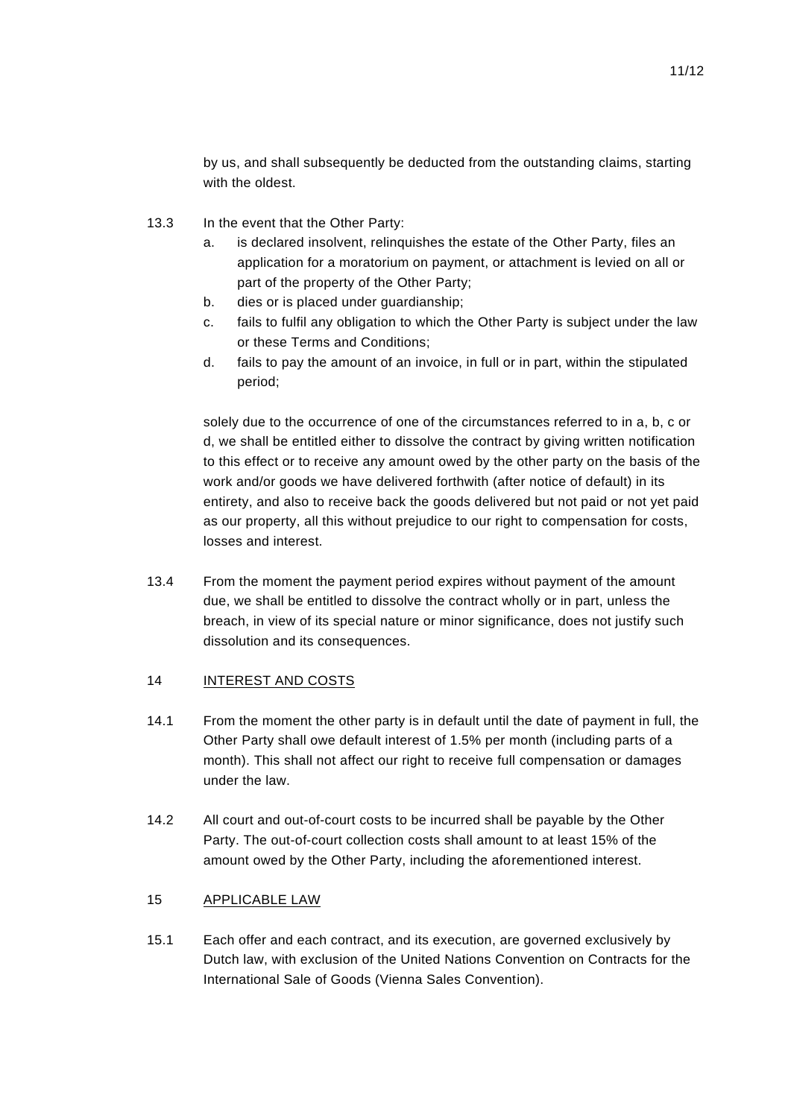by us, and shall subsequently be deducted from the outstanding claims, starting with the oldest.

- 13.3 In the event that the Other Party:
	- a. is declared insolvent, relinquishes the estate of the Other Party, files an application for a moratorium on payment, or attachment is levied on all or part of the property of the Other Party;
	- b. dies or is placed under guardianship;
	- c. fails to fulfil any obligation to which the Other Party is subject under the law or these Terms and Conditions;
	- d. fails to pay the amount of an invoice, in full or in part, within the stipulated period;

solely due to the occurrence of one of the circumstances referred to in a, b, c or d, we shall be entitled either to dissolve the contract by giving written notification to this effect or to receive any amount owed by the other party on the basis of the work and/or goods we have delivered forthwith (after notice of default) in its entirety, and also to receive back the goods delivered but not paid or not yet paid as our property, all this without prejudice to our right to compensation for costs, losses and interest.

13.4 From the moment the payment period expires without payment of the amount due, we shall be entitled to dissolve the contract wholly or in part, unless the breach, in view of its special nature or minor significance, does not justify such dissolution and its consequences.

### 14 INTEREST AND COSTS

- 14.1 From the moment the other party is in default until the date of payment in full, the Other Party shall owe default interest of 1.5% per month (including parts of a month). This shall not affect our right to receive full compensation or damages under the law.
- 14.2 All court and out-of-court costs to be incurred shall be payable by the Other Party. The out-of-court collection costs shall amount to at least 15% of the amount owed by the Other Party, including the aforementioned interest.

### 15 APPLICABLE LAW

15.1 Each offer and each contract, and its execution, are governed exclusively by Dutch law, with exclusion of the United Nations Convention on Contracts for the International Sale of Goods (Vienna Sales Convention).